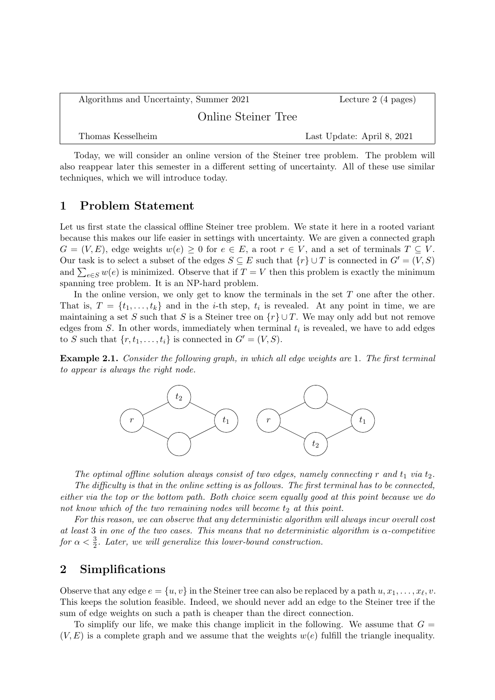| Algorithms and Uncertainty, Summer 2021 | Lecture 2 (4 pages)        |
|-----------------------------------------|----------------------------|
| Online Steiner Tree                     |                            |
| Thomas Kesselheim                       | Last Update: April 8, 2021 |

Today, we will consider an online version of the Steiner tree problem. The problem will also reappear later this semester in a different setting of uncertainty. All of these use similar techniques, which we will introduce today.

## 1 Problem Statement

Let us first state the classical offline Steiner tree problem. We state it here in a rooted variant because this makes our life easier in settings with uncertainty. We are given a connected graph  $G = (V, E)$ , edge weights  $w(e) \geq 0$  for  $e \in E$ , a root  $r \in V$ , and a set of terminals  $T \subseteq V$ . Our task is to select a subset of the edges  $S \subseteq E$  such that  $\{r\} \cup T$  is connected in  $G' = (V, S)$ and  $\sum_{e \in S} w(e)$  is minimized. Observe that if  $T = V$  then this problem is exactly the minimum spanning tree problem. It is an NP-hard problem.

In the online version, we only get to know the terminals in the set  $T$  one after the other. That is,  $T = \{t_1, \ldots, t_k\}$  and in the *i*-th step,  $t_i$  is revealed. At any point in time, we are maintaining a set S such that S is a Steiner tree on  $\{r\} \cup T$ . We may only add but not remove edges from  $S$ . In other words, immediately when terminal  $t_i$  is revealed, we have to add edges to S such that  $\{r, t_1, \ldots, t_i\}$  is connected in  $G' = (V, S)$ .

Example 2.1. Consider the following graph, in which all edge weights are 1. The first terminal to appear is always the right node.



The optimal offline solution always consist of two edges, namely connecting r and  $t_1$  via  $t_2$ . The difficulty is that in the online setting is as follows. The first terminal has to be connected, either via the top or the bottom path. Both choice seem equally good at this point because we do not know which of the two remaining nodes will become  $t_2$  at this point.

For this reason, we can observe that any deterministic algorithm will always incur overall cost at least 3 in one of the two cases. This means that no deterministic algorithm is  $\alpha$ -competitive for  $\alpha < \frac{3}{2}$ . Later, we will generalize this lower-bound construction.

#### 2 Simplifications

Observe that any edge  $e = \{u, v\}$  in the Steiner tree can also be replaced by a path  $u, x_1, \ldots, x_\ell, v$ . This keeps the solution feasible. Indeed, we should never add an edge to the Steiner tree if the sum of edge weights on such a path is cheaper than the direct connection.

To simplify our life, we make this change implicit in the following. We assume that  $G =$  $(V, E)$  is a complete graph and we assume that the weights  $w(e)$  fulfill the triangle inequality.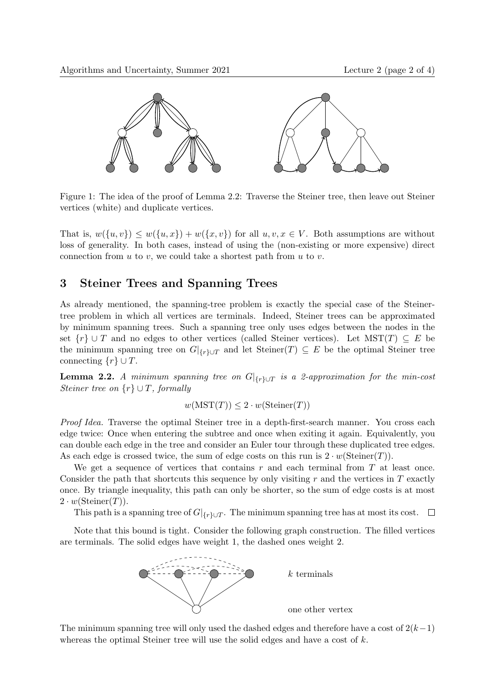

Figure 1: The idea of the proof of Lemma 2.2: Traverse the Steiner tree, then leave out Steiner vertices (white) and duplicate vertices.

That is,  $w({u, v}) \leq w({u, x}) + w({x, v})$  for all  $u, v, x \in V$ . Both assumptions are without loss of generality. In both cases, instead of using the (non-existing or more expensive) direct connection from  $u$  to  $v$ , we could take a shortest path from  $u$  to  $v$ .

## 3 Steiner Trees and Spanning Trees

As already mentioned, the spanning-tree problem is exactly the special case of the Steinertree problem in which all vertices are terminals. Indeed, Steiner trees can be approximated by minimum spanning trees. Such a spanning tree only uses edges between the nodes in the set  $\{r\} \cup T$  and no edges to other vertices (called Steiner vertices). Let  $MST(T) \subseteq E$  be the minimum spanning tree on  $G|_{\{r\}\cup T}$  and let Steiner(T)  $\subseteq E$  be the optimal Steiner tree connecting  $\{r\} \cup T$ .

**Lemma 2.2.** A minimum spanning tree on  $G|_{\{r\}\cup T}$  is a 2-approximation for the min-cost Steiner tree on  $\{r\} \cup T$ , formally

$$
w(MST(T)) \leq 2 \cdot w(Steiner(T))
$$

Proof Idea. Traverse the optimal Steiner tree in a depth-first-search manner. You cross each edge twice: Once when entering the subtree and once when exiting it again. Equivalently, you can double each edge in the tree and consider an Euler tour through these duplicated tree edges. As each edge is crossed twice, the sum of edge costs on this run is  $2 \cdot w(\text{Steiner}(T))$ .

We get a sequence of vertices that contains  $r$  and each terminal from  $T$  at least once. Consider the path that shortcuts this sequence by only visiting  $r$  and the vertices in  $T$  exactly once. By triangle inequality, this path can only be shorter, so the sum of edge costs is at most  $2 \cdot w(\text{Steiner}(T)).$ 

This path is a spanning tree of  $G|_{\{r\}\cup T}$ . The minimum spanning tree has at most its cost.  $\Box$ 

Note that this bound is tight. Consider the following graph construction. The filled vertices are terminals. The solid edges have weight 1, the dashed ones weight 2.



The minimum spanning tree will only used the dashed edges and therefore have a cost of  $2(k-1)$ whereas the optimal Steiner tree will use the solid edges and have a cost of  $k$ .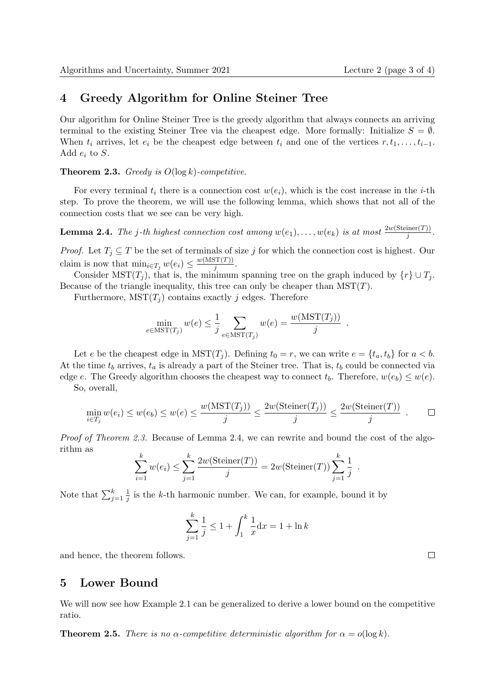#### 4 Greedy Algorithm for Online Steiner Tree

Our algorithm for Online Steiner Tree is the greedy algorithm that always connects an arriving terminal to the existing Steiner Tree via the cheapest edge. More formally: Initialize  $S = \emptyset$ . When  $t_i$  arrives, let  $e_i$  be the cheapest edge between  $t_i$  and one of the vertices  $r, t_1, \ldots, t_{i-1}$ . Add  $e_i$  to  $S$ .

**Theorem 2.3.** Greedy is  $O(\log k)$ -competitive.

For every terminal  $t_i$  there is a connection cost  $w(e_i)$ , which is the cost increase in the *i*-th step. To prove the theorem, we will use the following lemma, which shows that not all of the connection costs that we see can be very high.

**Lemma 2.4.** The j-th highest connection cost among  $w(e_1), \ldots, w(e_k)$  is at most  $\frac{2w(\text{Steiner}(T))}{j}$ .

*Proof.* Let  $T_i \subseteq T$  be the set of terminals of size j for which the connection cost is highest. Our claim is now that  $\min_{i \in T_j} w(e_i) \leq \frac{w(MST(T))}{j}$  $\frac{1(1)}{j}$ .

Consider MST( $T_j$ ), that is, the minimum spanning tree on the graph induced by  $\{r\} \cup T_j$ . Because of the triangle inequality, this tree can only be cheaper than  $MST(T)$ .

Furthermore,  $MST(T_i)$  contains exactly j edges. Therefore

$$
\min_{e \in \text{MST}(T_j)} w(e) \le \frac{1}{j} \sum_{e \in \text{MST}(T_j)} w(e) = \frac{w(\text{MST}(T_j))}{j} .
$$

Let e be the cheapest edge in  $MST(T_i)$ . Defining  $t_0 = r$ , we can write  $e = \{t_a, t_b\}$  for  $a < b$ . At the time  $t_b$  arrives,  $t_a$  is already a part of the Steiner tree. That is,  $t_b$  could be connected via edge e. The Greedy algorithm chooses the cheapest way to connect  $t_b$ . Therefore,  $w(e_b) \leq w(e)$ .

So, overall,

$$
\min_{i \in T_j} w(e_i) \le w(e_b) \le w(e) \le \frac{w(\text{MST}(T_j))}{j} \le \frac{2w(\text{Steiner}(T_j))}{j} \le \frac{2w(\text{Steiner}(T))}{j} . \qquad \Box
$$

Proof of Theorem 2.3. Because of Lemma 2.4, we can rewrite and bound the cost of the algorithm as

$$
\sum_{i=1}^{k} w(e_i) \le \sum_{j=1}^{k} \frac{2w(\text{Steiner}(T))}{j} = 2w(\text{Steiner}(T)) \sum_{j=1}^{k} \frac{1}{j} .
$$

Note that  $\sum_{j=1}^k \frac{1}{j}$  $\frac{1}{j}$  is the k-th harmonic number. We can, for example, bound it by

$$
\sum_{j=1}^{k} \frac{1}{j} \le 1 + \int_{1}^{k} \frac{1}{x} dx = 1 + \ln k
$$

and hence, the theorem follows.

# 5 Lower Bound

We will now see how Example 2.1 can be generalized to derive a lower bound on the competitive ratio.

**Theorem 2.5.** There is no  $\alpha$ -competitive deterministic algorithm for  $\alpha = o(\log k)$ .

 $\Box$